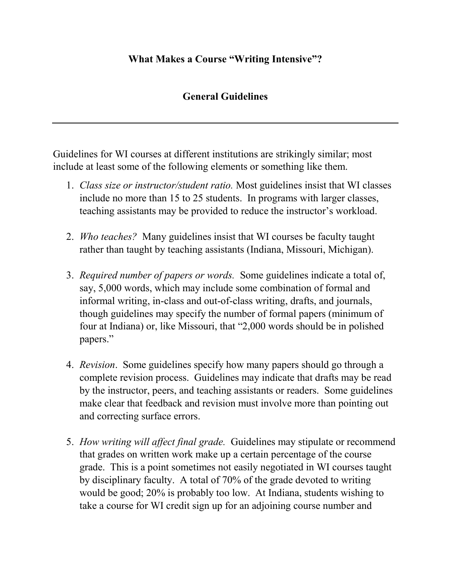## **What Makes a Course "Writing Intensive"?**

## **General Guidelines**

Guidelines for WI courses at different institutions are strikingly similar; most include at least some of the following elements or something like them.

- 1. *Class size or instructor/student ratio.* Most guidelines insist that WI classes include no more than 15 to 25 students. In programs with larger classes, teaching assistants may be provided to reduce the instructor's workload.
- 2. *Who teaches?* Many guidelines insist that WI courses be faculty taught rather than taught by teaching assistants (Indiana, Missouri, Michigan).
- 3. *Required number of papers or words.* Some guidelines indicate a total of, say, 5,000 words, which may include some combination of formal and informal writing, in-class and out-of-class writing, drafts, and journals, though guidelines may specify the number of formal papers (minimum of four at Indiana) or, like Missouri, that "2,000 words should be in polished papers."
- 4. *Revision*. Some guidelines specify how many papers should go through a complete revision process. Guidelines may indicate that drafts may be read by the instructor, peers, and teaching assistants or readers. Some guidelines make clear that feedback and revision must involve more than pointing out and correcting surface errors.
- 5. *How writing will affect final grade.* Guidelines may stipulate or recommend that grades on written work make up a certain percentage of the course grade. This is a point sometimes not easily negotiated in WI courses taught by disciplinary faculty. A total of 70% of the grade devoted to writing would be good; 20% is probably too low. At Indiana, students wishing to take a course for WI credit sign up for an adjoining course number and